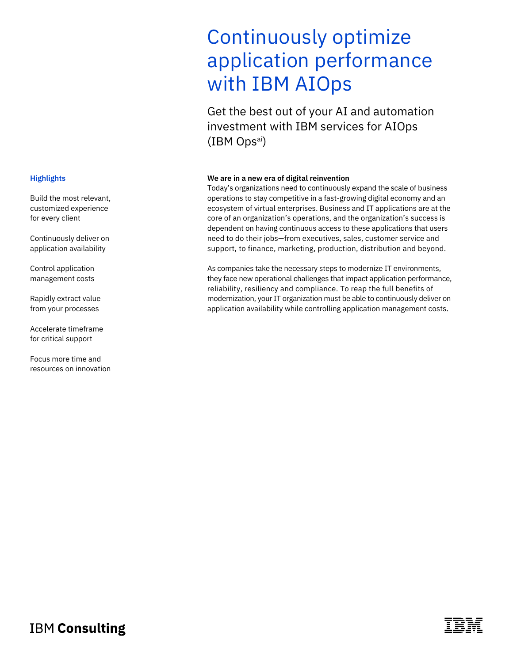# Continuously optimize application performance with IBM AIOps

Get the best out of your AI and automation investment with IBM services for AIOps (IBM Opsai)

#### **We are in a new era of digital reinvention**

Today's organizations need to continuously expand the scale of business operations to stay competitive in a fast-growing digital economy and an ecosystem of virtual enterprises. Business and IT applications are at the core of an organization's operations, and the organization's success is dependent on having continuous access to these applications that users need to do their jobs—from executives, sales, customer service and support, to finance, marketing, production, distribution and beyond.

As companies take the necessary steps to modernize IT environments, they face new operational challenges that impact application performance, reliability, resiliency and compliance. To reap the full benefits of modernization, your IT organization must be able to continuously deliver on application availability while controlling application management costs.

#### **Highlights**

Build the most relevant, customized experience for every client

Continuously deliver on application availability

Control application management costs

Rapidly extract value from your processes

Accelerate timeframe for critical support

Focus more time and resources on innovation

**IBM Consulting**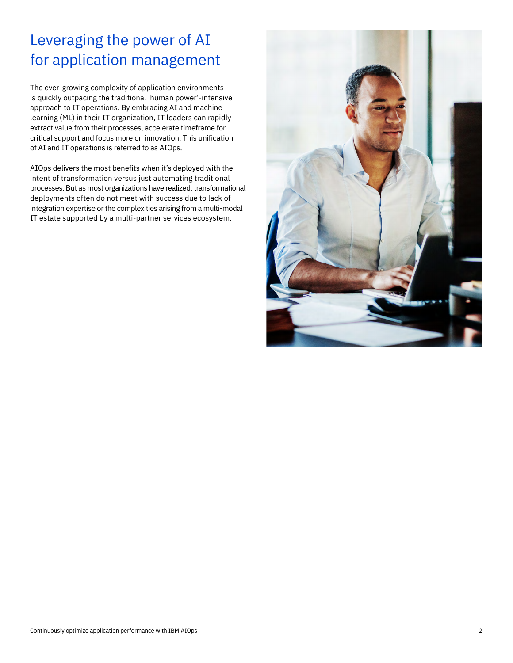## Leveraging the power of AI for application management

The ever-growing complexity of application environments is quickly outpacing the traditional 'human power'-intensive approach to IT operations. By embracing AI and machine learning (ML) in their IT organization, IT leaders can rapidly extract value from their processes, accelerate timeframe for critical support and focus more on innovation. This unification of AI and IT operations is referred to as AIOps.

AIOps delivers the most benefits when it's deployed with the intent of transformation versus just automating traditional processes. But as most organizations have realized, transformational deployments often do not meet with success due to lack of integration expertise or the complexities arising from a multi-modal IT estate supported by a multi-partner services ecosystem.

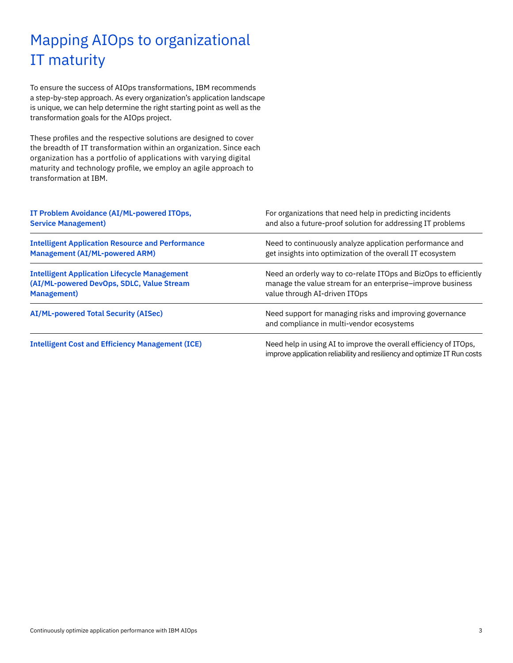### Mapping AIOps to organizational IT maturity

To ensure the success of AIOps transformations, IBM recommends a step-by-step approach. As every organization's application landscape is unique, we can help determine the right starting point as well as the transformation goals for the AIOps project.

These profiles and the respective solutions are designed to cover the breadth of IT transformation within an organization. Since each organization has a portfolio of applications with varying digital maturity and technology profile, we employ an agile approach to transformation at IBM.

| IT Problem Avoidance (AI/ML-powered ITOps,              | For organizations that need help in predicting incidents                                                                                      |
|---------------------------------------------------------|-----------------------------------------------------------------------------------------------------------------------------------------------|
| <b>Service Management)</b>                              | and also a future-proof solution for addressing IT problems                                                                                   |
| <b>Intelligent Application Resource and Performance</b> | Need to continuously analyze application performance and                                                                                      |
| <b>Management (AI/ML-powered ARM)</b>                   | get insights into optimization of the overall IT ecosystem                                                                                    |
| <b>Intelligent Application Lifecycle Management</b>     | Need an orderly way to co-relate ITOps and BizOps to efficiently                                                                              |
| (AI/ML-powered DevOps, SDLC, Value Stream               | manage the value stream for an enterprise–improve business                                                                                    |
| <b>Management</b> )                                     | value through AI-driven ITOps                                                                                                                 |
| <b>AI/ML-powered Total Security (AISec)</b>             | Need support for managing risks and improving governance<br>and compliance in multi-vendor ecosystems                                         |
| <b>Intelligent Cost and Efficiency Management (ICE)</b> | Need help in using AI to improve the overall efficiency of ITOps,<br>improve application reliability and resiliency and optimize IT Run costs |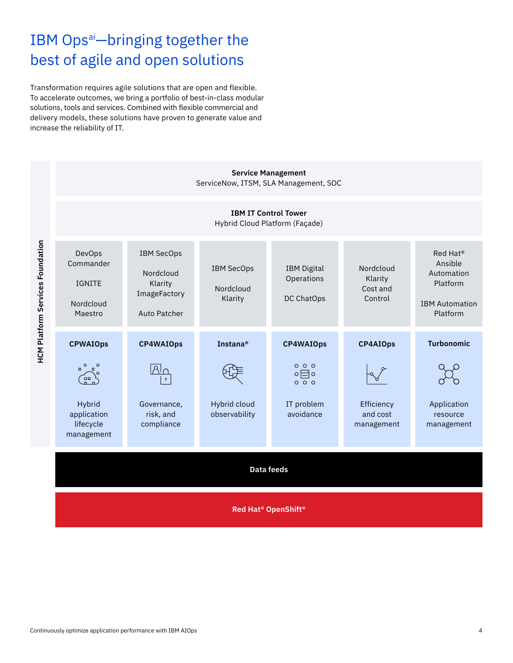## IBM Ops<sup>ai</sup>-bringing together the best of agile and open solutions

Transformation requires agile solutions that are open and flexible. To accelerate outcomes, we bring a portfolio of best-in-class modular solutions, tools and services. Combined with flexible commercial and delivery models, these solutions have proven to generate value and increase the reliability of IT.

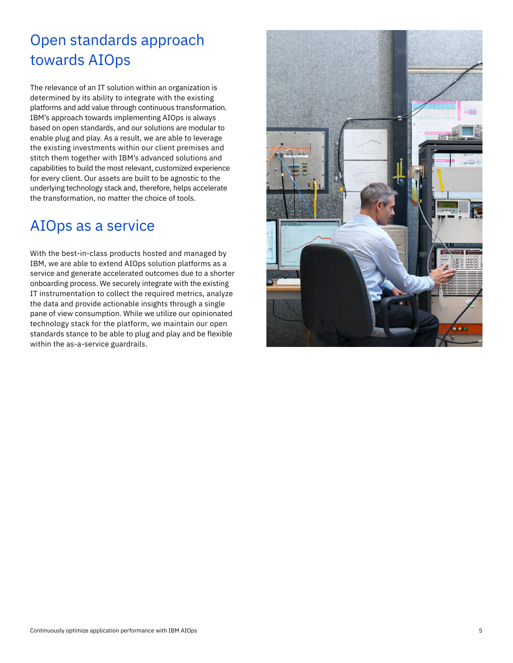#### Open standards approach towards AIOps

The relevance of an IT solution within an organization is determined by its ability to integrate with the existing platforms and add value through continuous transformation. IBM's approach towards implementing AIOps is always based on open standards, and our solutions are modular to enable plug and play. As a result, we are able to leverage the existing investments within our client premises and stitch them together with IBM's advanced solutions and capabilities to build the most relevant, customized experience for every client. Our assets are built to be agnostic to the underlying technology stack and, therefore, helps accelerate the transformation, no matter the choice of tools.

#### AIOps as a service

With the best-in-class products hosted and managed by IBM, we are able to extend AIOps solution platforms as a service and generate accelerated outcomes due to a shorter onboarding process. We securely integrate with the existing IT instrumentation to collect the required metrics, analyze the data and provide actionable insights through a single pane of view consumption. While we utilize our opinionated technology stack for the platform, we maintain our open standards stance to be able to plug and play and be flexible within the as-a-service guardrails.

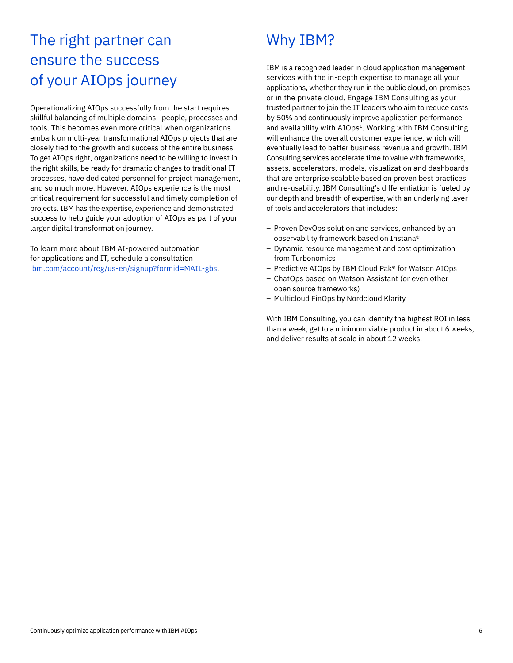#### The right partner can ensure the success of your AIOps journey

Operationalizing AIOps successfully from the start requires skillful balancing of multiple domains—people, processes and tools. This becomes even more critical when organizations embark on multi-year transformational AIOps projects that are closely tied to the growth and success of the entire business. To get AIOps right, organizations need to be willing to invest in the right skills, be ready for dramatic changes to traditional IT processes, have dedicated personnel for project management, and so much more. However, AIOps experience is the most critical requirement for successful and timely completion of projects. IBM has the expertise, experience and demonstrated success to help guide your adoption of AIOps as part of your larger digital transformation journey.

To learn more about IBM AI-powered automation for applications and IT, schedule a consultation [ibm.com/account/reg/us-en/signup?formid=MAIL-gbs](http://ibm.com/account/reg/us-en/signup?formid=MAIL-gbs).

#### Why IBM?

IBM is a recognized leader in cloud application management services with the in-depth expertise to manage all your applications, whether they run in the public cloud, on-premises or in the private cloud. Engage IBM Consulting as your trusted partner to join the IT leaders who aim to reduce costs by 50% and continuously improve application performance and availability with AIOps<sup>1</sup>. Working with IBM Consulting will enhance the overall customer experience, which will eventually lead to better business revenue and growth. IBM Consulting services accelerate time to value with frameworks, assets, accelerators, models, visualization and dashboards that are enterprise scalable based on proven best practices and re-usability. IBM Consulting's differentiation is fueled by our depth and breadth of expertise, with an underlying layer of tools and accelerators that includes:

- Proven DevOps solution and services, enhanced by an observability framework based on Instana®
- Dynamic resource management and cost optimization from Turbonomics
- Predictive AIOps by IBM Cloud Pak® for Watson AIOps
- ChatOps based on Watson Assistant (or even other open source frameworks)
- Multicloud FinOps by Nordcloud Klarity

With IBM Consulting, you can identify the highest ROI in less than a week, get to a minimum viable product in about 6 weeks, and deliver results at scale in about 12 weeks.